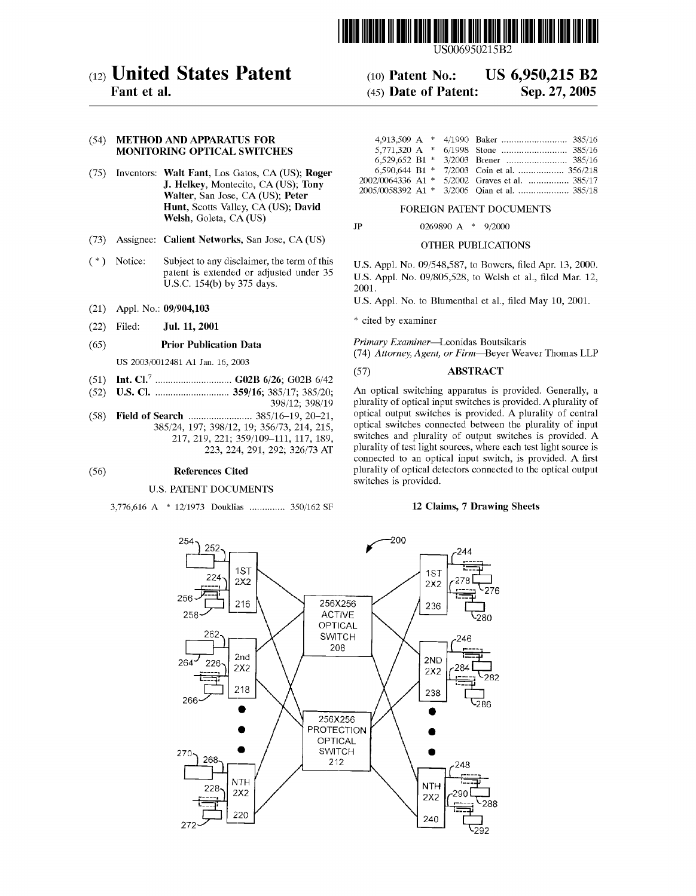

US006950215B2

# (12) United States Patent

# Fant et al.

### (54) METHOD AND APPARATUS FOR **MONITORING OPTICAL SWITCHES**

- (75) Inventors: Walt Fant, Los Gatos, CA (US); Roger J. Helkey, Montecito, CA (US); Tony Walter, San Jose, CA (US); Peter Hunt, Scotts Valley, CA (US); David Welsh, Goleta, CA (US)
- Assignee: Calient Networks, San Jose, CA (US)  $(73)$
- $(*)$  Notice: Subject to any disclaimer, the term of this patent is extended or adjusted under 35 U.S.C. 154(b) by 375 days.
- Appl. No.: 09/904,103  $(21)$
- $(22)$ Filed: Jul. 11, 2001

#### $(65)$ **Prior Publication Data**

US 2003/0012481 A1 Jan. 16, 2003

- 
- 398/12; 398/19
- $(58)$ 385/24, 197; 398/12, 19; 356/73, 214, 215, 217, 219, 221; 359/109-111, 117, 189, 223, 224, 291, 292; 326/73 AT

#### $(56)$ **References Cited**

#### **U.S. PATENT DOCUMENTS**

3,776,616 A \* 12/1973 Douklias .............. 350/162 SF

## US 6,950,215 B2  $(10)$  Patent No.:

#### (45) Date of Patent: Sep. 27, 2005

|  | 6,590,644 B1 * 7/2003 Coin et al.  356/218     |
|--|------------------------------------------------|
|  | 2002/0064336 A1 * 5/2002 Graves et al.  385/17 |
|  |                                                |

#### FOREIGN PATENT DOCUMENTS

0269890 A \* 9/2000  $JP$ 

#### OTHER PUBLICATIONS

U.S. Appl. No. 09/548,587, to Bowers, filed Apr. 13, 2000. U.S. Appl. No. 09/805,528, to Welsh et al., filed Mar. 12, 2001.

U.S. Appl. No. to Blumenthal et al., filed May 10, 2001.

\* cited by examiner

Primary Examiner-Leonidas Boutsikaris (74) Attorney, Agent, or Firm-Beyer Weaver Thomas LLP

#### **ABSTRACT**  $(57)$

An optical switching apparatus is provided. Generally, a plurality of optical input switches is provided. A plurality of optical output switches is provided. A plurality of central optical switches connected between the plurality of input switches and plurality of output switches is provided. A plurality of test light sources, where each test light source is connected to an optical input switch, is provided. A first plurality of optical detectors connected to the optical output switches is provided.

### 12 Claims, 7 Drawing Sheets

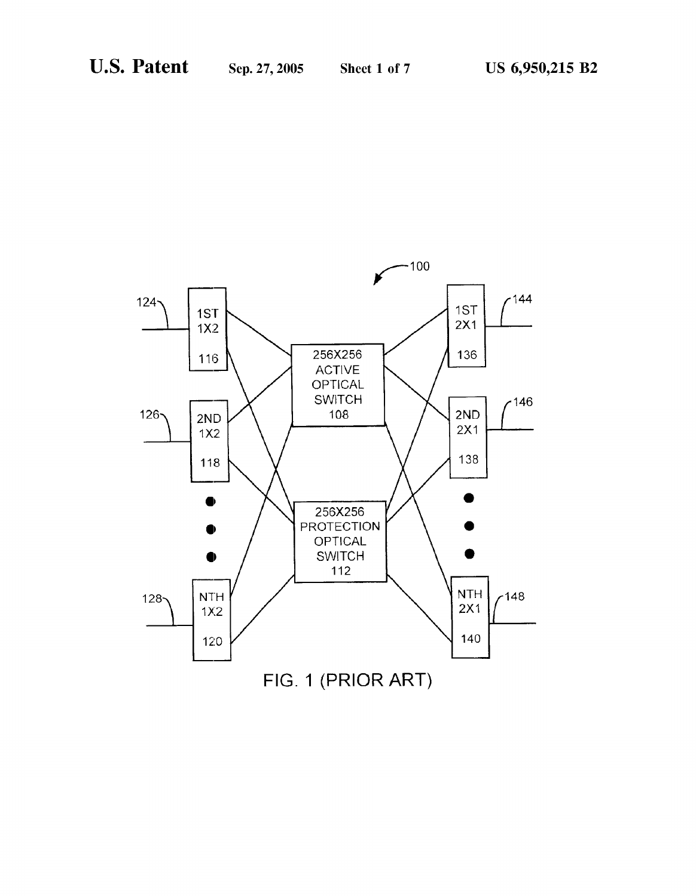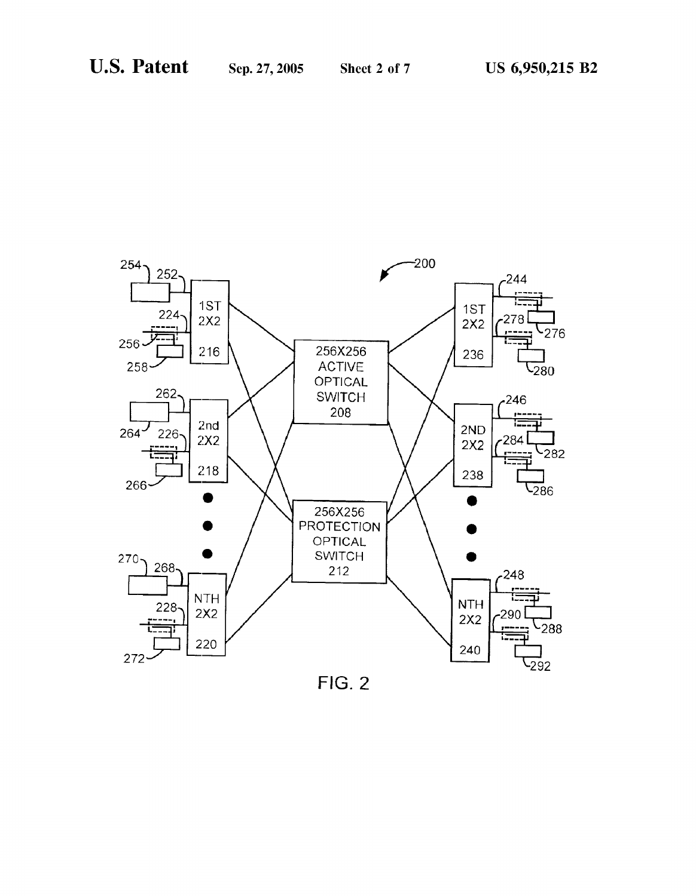

FIG. 2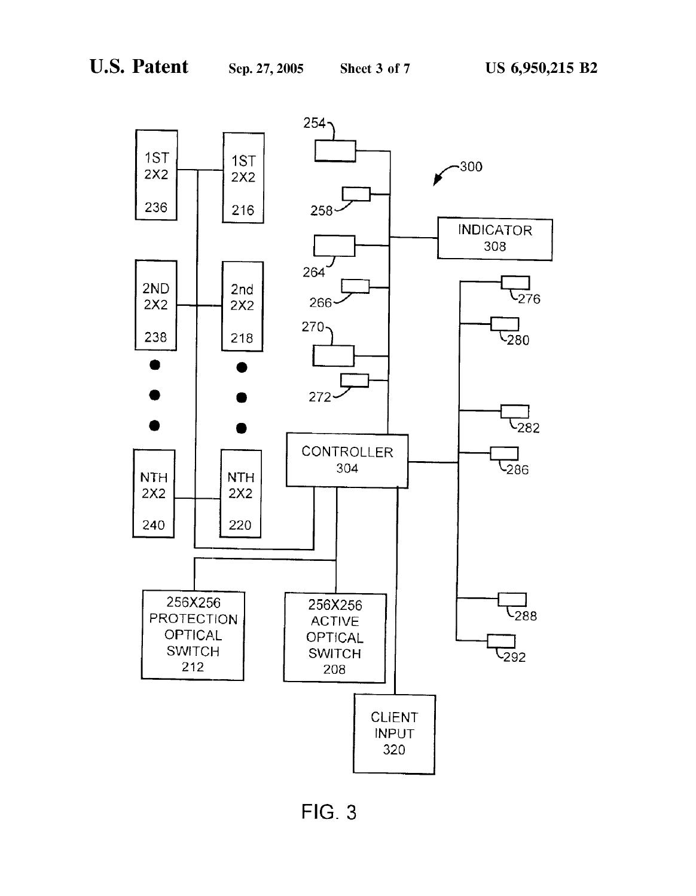

**FIG. 3**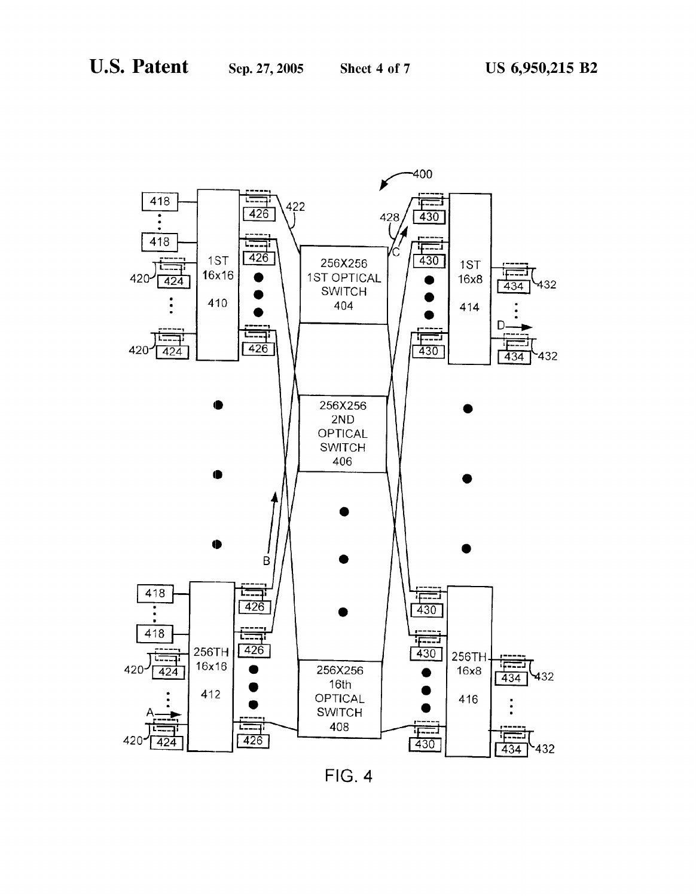

 $FIG. 4$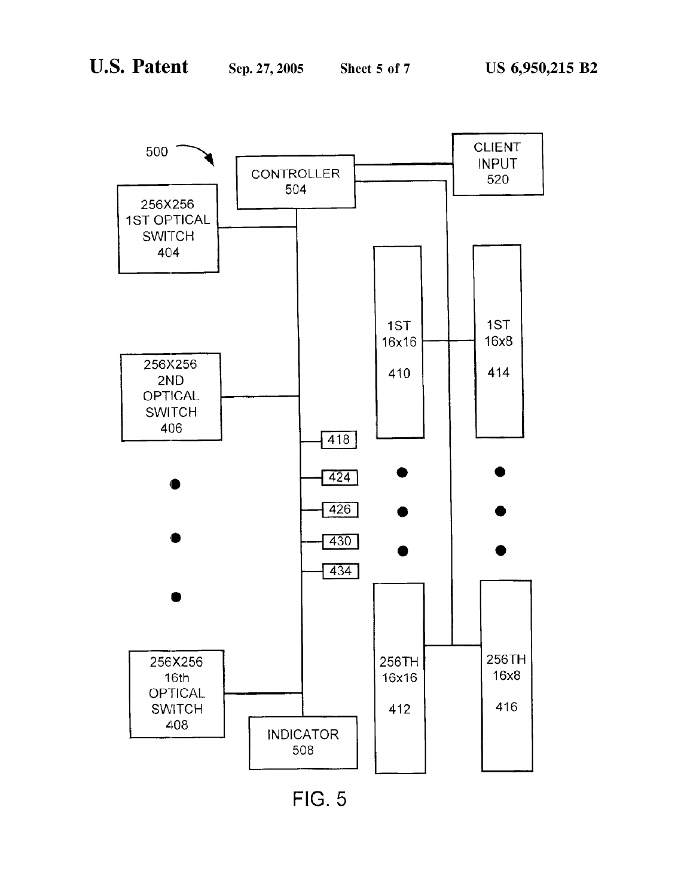

FIG. 5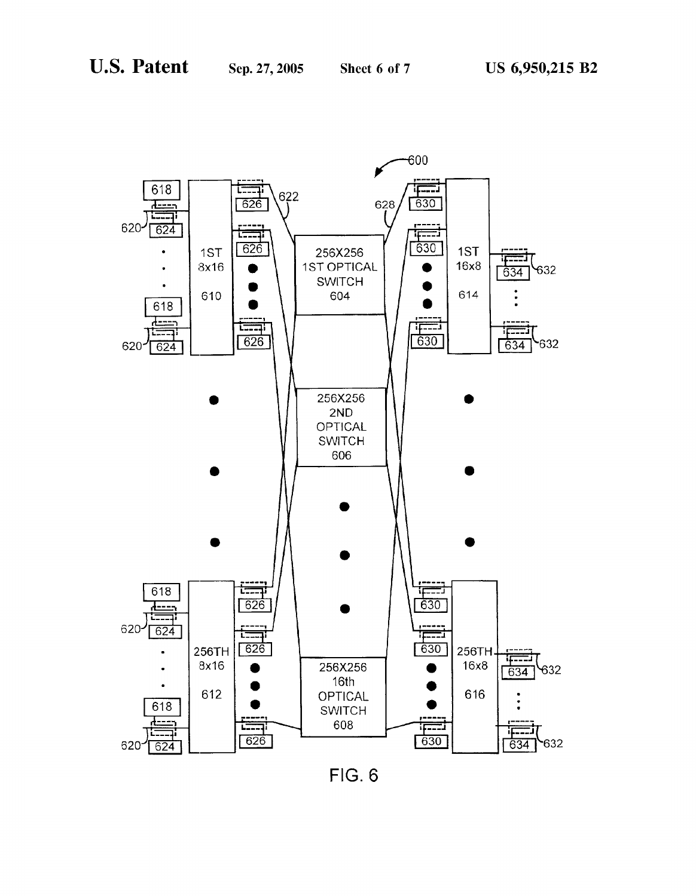

 $FIG. 6$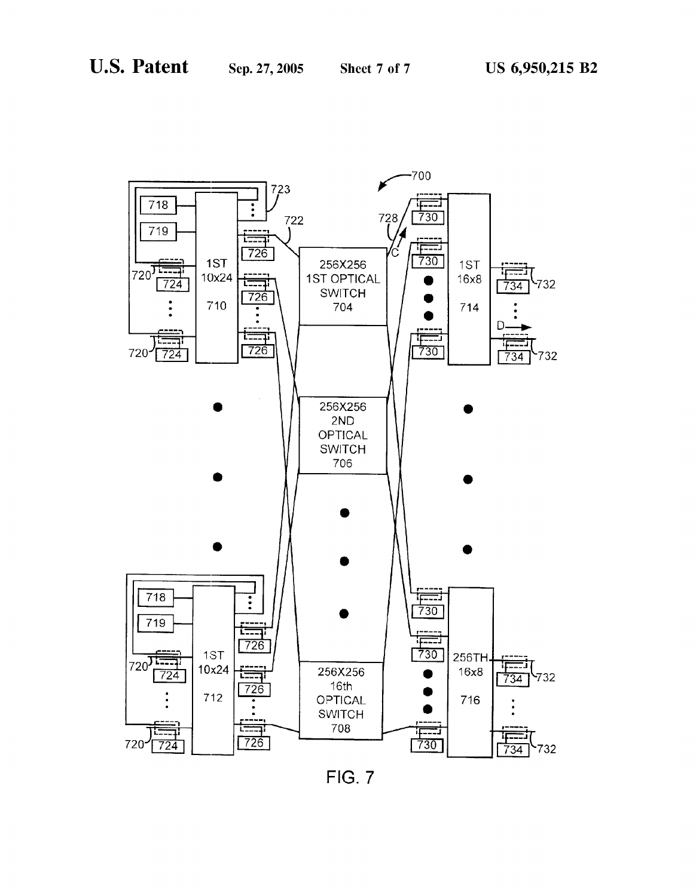

**FIG. 7**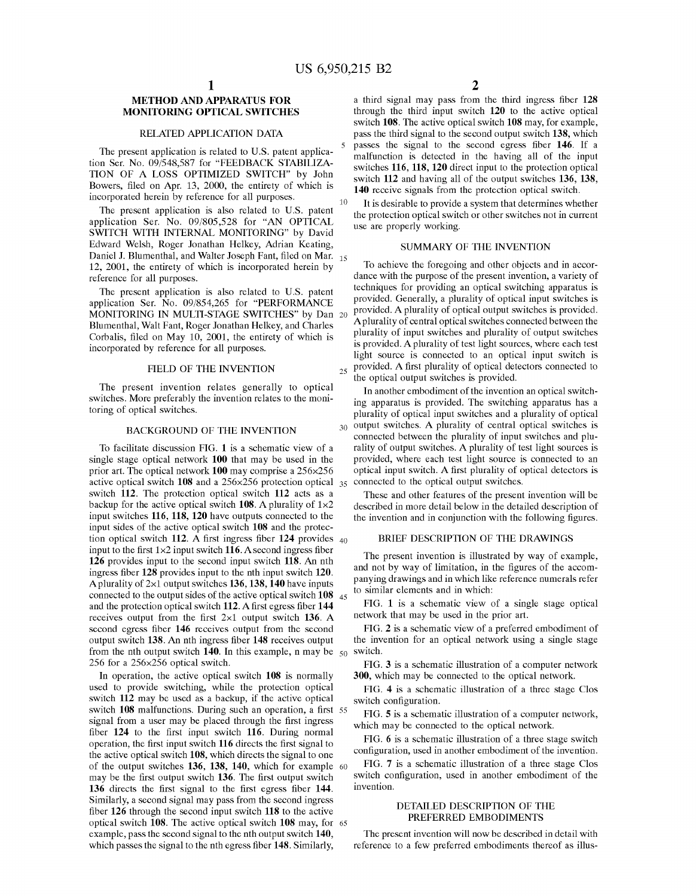25

## **METHOD AND APPARATUS FOR MONITORING OPTICAL SWITCHES**

#### RELATED APPLICATION DATA

The present application is related to U.S. patent application Ser. No. 09/548,587 for "FEEDBACK STABILIZA-TION OF A LOSS OPTIMIZED SWITCH" by John Bowers, filed on Apr. 13, 2000, the entirety of which is incorporated herein by reference for all purposes.

The present application is also related to U.S. patent application Ser. No. 09/805,528 for "AN OPTICAL SWITCH WITH INTERNAL MONITORING" by David Edward Welsh, Roger Jonathan Helkey, Adrian Keating, Daniel J. Blumenthal, and Walter Joseph Fant, filed on Mar. 15 12, 2001, the entirety of which is incorporated herein by reference for all purposes.

The present application is also related to U.S. patent application Ser. No. 09/854,265 for "PERFORMANCE MONITORING IN MULTI-STAGE SWITCHES" by Dan 20 Blumenthal, Walt Fant, Roger Jonathan Helkey, and Charles Corbalis, filed on May 10, 2001, the entirety of which is incorporated by reference for all purposes.

### FIELD OF THE INVENTION

The present invention relates generally to optical switches. More preferably the invention relates to the monitoring of optical switches.

#### BACKGROUND OF THE INVENTION

To facilitate discussion FIG. 1 is a schematic view of a single stage optical network 100 that may be used in the prior art. The optical network 100 may comprise a 256×256 active optical switch 108 and a  $256\times256$  protection optical 35 switch 112. The protection optical switch 112 acts as a backup for the active optical switch 108. A plurality of  $1\times2$ input switches 116, 118, 120 have outputs connected to the input sides of the active optical switch 108 and the protection optical switch 112. A first ingress fiber 124 provides  $_{40}$ input to the first  $1\times 2$  input switch 116. A second ingress fiber 126 provides input to the second input switch 118. An nth ingress fiber 128 provides input to the nth input switch 120. A plurality of  $2\times1$  output switches 136, 138, 140 have inputs connected to the output sides of the active optical switch  $108$  45 and the protection optical switch 112. A first egress fiber 144 receives output from the first  $2\times1$  output switch 136. A second egress fiber 146 receives output from the second output switch 138. An nth ingress fiber 148 receives output from the nth output switch 140. In this example, n may be  $50$ 256 for a 256×256 optical switch.

In operation, the active optical switch 108 is normally used to provide switching, while the protection optical switch 112 may be used as a backup, if the active optical switch 108 malfunctions. During such an operation, a first 55 signal from a user may be placed through the first ingress fiber 124 to the first input switch 116. During normal operation, the first input switch 116 directs the first signal to the active optical switch 108, which directs the signal to one of the output switches 136, 138, 140, which for example 60 may be the first output switch 136. The first output switch 136 directs the first signal to the first egress fiber 144. Similarly, a second signal may pass from the second ingress fiber 126 through the second input switch 118 to the active optical switch 108. The active optical switch 108 may, for 65 example, pass the second signal to the nth output switch 140, which passes the signal to the nth egress fiber 148. Similarly,

a third signal may pass from the third ingress fiber 128 through the third input switch 120 to the active optical switch 108. The active optical switch 108 may, for example, pass the third signal to the second output switch 138, which passes the signal to the second egress fiber 146. If a malfunction is detected in the having all of the input switches 116, 118, 120 direct input to the protection optical switch 112 and having all of the output switches 136, 138, 140 receive signals from the protection optical switch.

It is desirable to provide a system that determines whether the protection optical switch or other switches not in current use are properly working.

#### SUMMARY OF THE INVENTION

To achieve the foregoing and other objects and in accordance with the purpose of the present invention, a variety of techniques for providing an optical switching apparatus is provided. Generally, a plurality of optical input switches is provided. A plurality of optical output switches is provided. A plurality of central optical switches connected between the plurality of input switches and plurality of output switches is provided. A plurality of test light sources, where each test light source is connected to an optical input switch is provided. A first plurality of optical detectors connected to the optical output switches is provided.

In another embodiment of the invention an optical switching apparatus is provided. The switching apparatus has a plurality of optical input switches and a plurality of optical 30 output switches. A plurality of central optical switches is connected between the plurality of input switches and plurality of output switches. A plurality of test light sources is provided, where each test light source is connected to an optical input switch. A first plurality of optical detectors is connected to the optical output switches.

These and other features of the present invention will be described in more detail below in the detailed description of the invention and in conjunction with the following figures.

#### BRIEF DESCRIPTION OF THE DRAWINGS

The present invention is illustrated by way of example, and not by way of limitation, in the figures of the accompanying drawings and in which like reference numerals refer to similar elements and in which:

FIG. 1 is a schematic view of a single stage optical network that may be used in the prior art.

FIG. 2 is a schematic view of a preferred embodiment of the invention for an optical network using a single stage switch.

FIG. 3 is a schematic illustration of a computer network 300, which may be connected to the optical network.

FIG. 4 is a schematic illustration of a three stage Clos switch configuration.

FIG. 5 is a schematic illustration of a computer network, which may be connected to the optical network.

FIG. 6 is a schematic illustration of a three stage switch configuration, used in another embodiment of the invention.

FIG. 7 is a schematic illustration of a three stage Clos switch configuration, used in another embodiment of the invention.

### DETAILED DESCRIPTION OF THE PREFERRED EMBODIMENTS

The present invention will now be described in detail with reference to a few preferred embodiments thereof as illus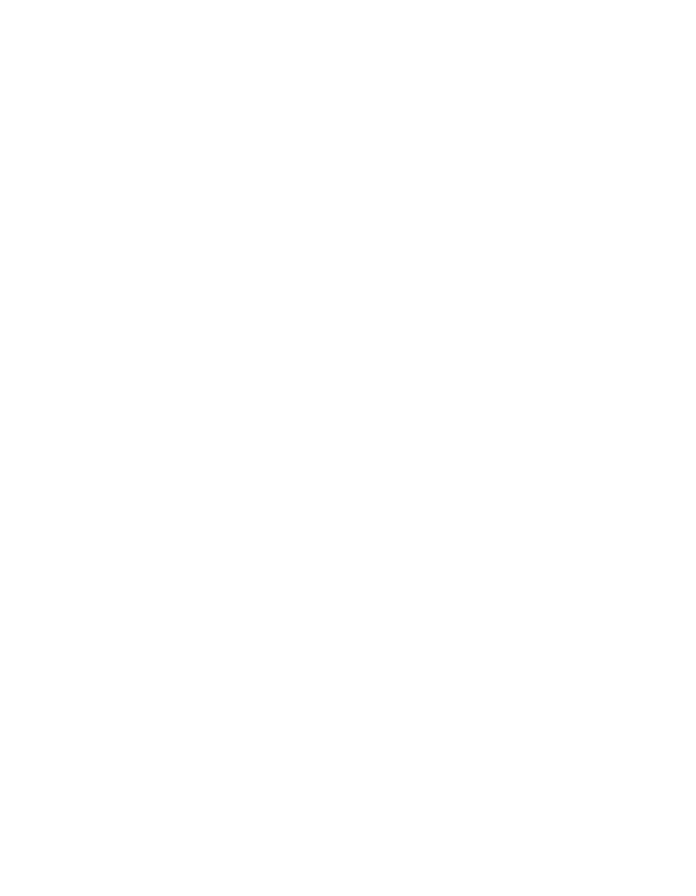trated in the accompanying drawings. In the following description, numerous specific details are set fourth in order to provide a thorough understanding of the present invention. It will be apparent, however, to one skilled in the art, that the present invention may be practiced without some or all of these specific details. In other instances, well-known process steps and/or structures have not been described in detail in order to not unnecessarily obscure the present invention.

To facilitate discussion, FIG. 2 is a schematic view of a  $_{10}$ preferred embodiment of the invention for an optical network 200 using a single state switch. The optical network 200 may comprise a  $256\times256$  active optical switch 208 and a 256×256 protection optical switch 212. The protection optical switch 212 acts as a backup for the active optical  $_{15}$ switch 208.

A plurality of  $2\times 2$  input switches 216, 218, 220 have outputs connected to the input sides of the active optical switch 208 and the protection optical switch 212. A first ingress fiber 224 provides input to the first  $2\times 2$  input switch  $_{20}$ 216. A first laser 254 provides a test signal through a first connector cable  $252$  to the first  $2\times 2$  input switch  $216$ . A first input detector 258 is connected to the first ingress fiber 224 so that some of the signal through the first ingress fiber 224 flows through a detector cable 256 to the first input detector  $_{25}$ 258. A small fraction of the optical power from the first ingress fiber 224 is coupled to the first input detector 258 using a commercial fiber coupler (detector cable 256), which is based on the principle of evanescent coupling of light through the cladding of two closely spaced optical fiber 30 cores. A second ingress fiber 226 provides input to the second input switch 218. A second laser 264 provides a test signal through a second connector cable 262 to the second  $2\times2$  input switch 218. A second input detector 266 is connected to the second ingress fiber 226 so that some of the 35 signal through the second ingress fiber 226 flows through a detector cable to the second input detector 266. An nth ingress fiber 228 provides input to the nth input switch 220. An nth laser 270 provides a test signal through an nth connector cable 268 to the nth  $2\times 2$  input switch 220. An nth 40 input detector 272 is connected to the nth ingress fiber 228 so that some of the signal through the nth ingress fiber 228 flows through a detector cable to the nth input detector 272.

A plurality of 2×2 output switches 236, 238, 240 have inputs connected to the output sides of the active optical 45 switch 208 and the protection optical switch 212. A first egress fiber 244 receives a first output from the first output switch 236. A first signal output detector 276 is connected to the first egress fiber 244 to measure light from the first egress fiber 244. A second output from the first output switch 236 50 is connected to a first output test detector cable 278, which is connected to a first output test detector 280. An optical attenuator may be connected between the first output detector cable 278 and the first output test detector 280 to provide similar optical power levels to the first signal output detector 55 276 and the first output test detector 280. A second egress fiber 246 receives output from the second output switch 238. A second signal output detector 282 is connected to the second egress fiber 246 to measure light from the second egress fiber 246. A second output from the second output 60 switch 238 is connected to a second output test detector cable 284, which is connected to a second output test detector 286. An nth ingress fiber 248 receives output from the nth output switch 240. An nth signal output detector 288 is connected to the nth egress fiber 248 to measure light from 65 the nth egress fiber 248. A second output from the nth output switch 240 is connected to an nth output test detector cable

290, which is connected to an nth output test detector 292. For a  $256\times256$  switch, in the preferred embodiment n is 256 providing for 256 input switches, 256 ingress fibers, 256 input detectors, 256 lasers, 256 output switches, 256 egress fibers, 256 signal output detectors, and 256 output test detectors.

FIG. 3 is a schematic illustration of a computer network 300, which may be connected to the optical network. A controller 304, which may comprise one or more computers, is connected to the active optical switch 208, the protection optical switch 212, the first input switch 216, the second input switch 218, up to the nth input switch 220, the first output switch 236, the second output switch 238, up to the nth output switch 240, the first laser 254, the second laser 264, up to the nth laser 270, the first input detector 258, the second input detector  $266$ , up to the nth input detector  $272$ , the first signal output detector 276, the second signal output detector 282, up to the nth signal output detector 288, the first output test detector 280, the second output test detector 286, and up to the nth output test detector 292. The controller 304 may control the active optical switch 208 and the protection switch 212, directing which input for the active and protection optical switches 208, 212 are directed to which output of the active and protection optical switches 208, 212. The controller 304 may receive client input 320, which may be defined as input information which the controller uses to direct the switching of the active optical switch and the protection optical switch. The controller 304 may be connected to an indicator 308.

In operation, the optical network 200 may be tested before the network is placed in service, such as before the optical network 200 leaves the manufacturing facilities. The controller 304 may signal the first, second, and up to the nth lasers 254, 264, 270 to generate signals as input to the first, second, and up to the nth input switches 216, 218, 220. To test the active optical switch 208, the first, second, and up to the nth input switches 216, 218, 220 are set to send output from the first, second, and up to the nth lasers 254, 264, 270 to the active optical switch 208. Output from the active optical switch 208 is directed to the first, second, and up to the nth output switches 236, 238, 240. The first, second, and up to the nth output switches 236, 238, 240 preferably direct the signals to the first, second, and up to the nth output test detectors 280, 286, 292, but may instead direct the signals to the first, second, and up to nth signal output detectors 276, 282, 288. The controller 304 measures the signals from the first, second, and up to nth laser 254, 264, 270 and compares them with the signals detected from the first, second, and up to the nth output test detectors 280, 286, 292 or the first, second, and up to nth signal output detectors 276, 282, 288 and the switching commands sent from the controller to the active optical switch to determine whether the active optical switch 208 is working properly.

To test the protection optical switch 212, the first, second, and up to the nth input switches 216, 218, 220 are set to send output from the first, second, and up to the nth lasers 254, 264, 270 to the protection optical switch 212. Output from the protection optical switch 212 is directed to the first, second, and up to the nth output switches 236, 238, 240. The first, second, and up to the nth output switches 236, 238, 240 preferably direct the signals to the first, second, and up to the nth output test detectors 280, 286, 292, but may instead direct the signals to the first, second, and up to nth signal output detectors 276, 282, 288. The controller 304 measures the signals from the first, second, and up to nth laser 254, 264, 270 and compares them with the signals detected from the first, second, and up to the nth output test detectors 280,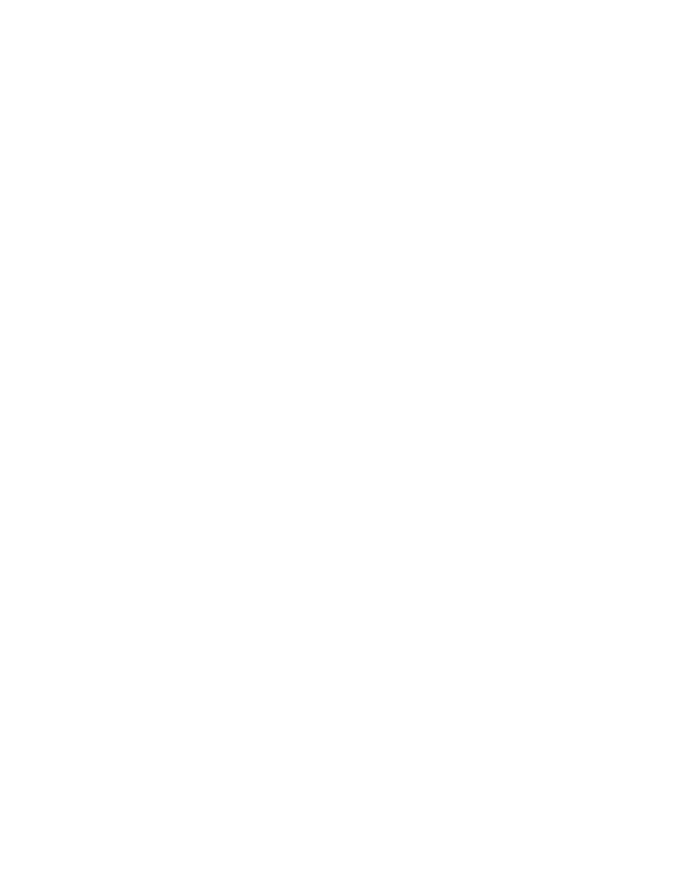$20\degree$ 

 $25$ 

 $35$ 

45

286, 292 or the first, second, and up to nth signal output detectors 276, 282, 288 and the switching commands sent from the controller to the active optical switch to determine whether the active optical switch 208 is working properly.

This testing allows a manufacturer the ability to certify the network when the network leaves the manufacturing facility. It also allows a wholesaler or installer to be able to certify the network when they receive the network and when they ship the network out or just before installation, so that a faulty network does not go through an installation proce- 10 dure and to determine whether a malfunction was caused by installation.

After installation, the system is able to test both the active optical switch 208 and the protection switch 212 when the system is not in service or when the active optical switch 208 or protection switch 212 is in service. The testing of both the active optical switch 208 and the protection optical switch 212 when the system is not in service is the same procedure for testing before the network is installed, as described above.

To test the active optical switch 208, while the active optical switch is in service, is performed when signals are being provided through the first, second, and up to the nth ingress fibers 224, 226, 228 to the first, second, and up to the nth input switches 216, 218, 220. The first, second, and up to the nth input switches 216, 218, 220 are set by the controller 304 to direct the signals from the first, second, up to the nth ingress fibers 224, 226, 228 to the active optical switch 208. The first, second, and up to the nth input  $_{30}$ detectors 258, 266, 272 measure the signals passed through the first, second and up to the nth ingress fibers 224, 226, 228, and generate a signal which is passed to the controller 304. The controller 304 may control the active optical switch so that input from various input switches is directed to the input side of various output switches. The first, second, and up to the nth output switches 236, 238, 240 direct the signals from the active optical switch 208 to the first, second, and up to the nth egress fibers 244, 246, 248. The first, second, and up to the nth signal output detectors 276, 282, 288 detect signals passing through the first, second, and up to the nth egress fibers 244, 246, 248. By measuring the signals detected by the first, second, and up to the nth input detectors 258, 266, 272 and the signals detected by the first, second, and up to the nth signal output detectors 276, 282, 288 and from the control signals to the active optical switch 208, the controller 304 is able to detect whether the active optical switch 208 is working properly.

If a malfunction is detected in the active optical switch **208**, the controller 304 sends a signal to the first, second, and  $\frac{1}{50}$ up to the nth input switches  $216$ ,  $218$ ,  $220$  to send signals from the first, second, and up to the nth ingress fibers 224, 226, 228 to the protection optical switch 212. The controller 304 also sends signals to the first, second, and up to the nth output switches 236, 238, 240 to send signals from the  $_{55}$ protection optical switch 212 to the first, second, and up to the nth egress fibers 244, 246, 248. The controller 304 may also send a signal to the indicator 308 to notify a user that the active optical switch 208 is malfunctioning

To test the protection optical switch 212, while the active 60 optical switch is in service, is performed when signals are being provided through the first, second and up to the nth ingress fibers 224, 226, 228. The first, second, and up to the nth lasers 254, 264, 270 provide signals through the connector cables to the first, second, and up to the nth input 65 switches 216, 218, 220. The first, second, and up to the nth input switches 216, 218, 220 are set by the controller 304 to

direct the signals from the connector cables 252, 262, 268 to the protection optical switch 212. The controller 304 may control the protection optical switch 212 so that input from various input switches is directed to the input side of various output switches. The first, second, and up to the nth output switches 236, 238, 240 direct the signals from the protection optical switch 212 to the first, second, and up to the nth output test detector fibers 278, 284, 290. The first, second, and up to the nth output test detectors 280, 286, 292 detect signals passing through the first, second, and up to the nth output test detector fibers 278, 284, 290. By measuring the signals detected by the first, second, and up to the nth output test detectors 280, 286, 292 and from the control signals to the first, second, and up to the nth lasers 254, 264, 270 and the protection optical switch 212, the controller 304 is able to detect whether the protection optical switch 212 is working properly.

If a malfunction is detected in the protection optical switch 212, while the active optical switch 208 is in use, the controller may signal an administrator through the indicator 308 regarding the malfunction, so that the protection optical switch 212 may be replaced. The continuous testing of the protection optical switch 212 provides a more reliable backup system. This testing allows the switches and optical paths to be tested on a millisecond by millisecond basis, so that if a particular optical path must be used there is a high degree of confidence that the optical path and related switching will work. This embodiment not only allows the monitoring of the switches but also the optical pathways over optical fibers. If an optical fiber malfunctions, such as breaks, so that light may not pass through it, this embodiment of the invention will be able to detect this.

In one embodiment the controller 304 switches active optical switch 208 and the protection optical switch 212 together in parallel. In another embodiment, the controller 304 switches the active optical switch 208 and the protection optical switch 212 separately.

FIG. 4 is a schematic illustration of a three stage, such as a CLOS switch configuration 400. In this example, 16  $404, 256 \times 256$  center stage optical switches 404, 406, 408 are used as center-stage switches. There are  $256$  16 $\times$ 16 input switches 410, 412 and 256 16×8 output switches 414, 416. For each input switch 410, 412 there are eight lasers 418 to provide input and eight ingress fibers 420 to provide input to the input switch. Input detectors 424 are provided for each ingress fiber 420 to measure the signal on each ingress fiber 420. There are 16 output fibers 422 for each input switch 410, 412 so that each output fiber 422 of an input switch provides an input to a different center stage optical switch 404, 406, 408. Center stage input detectors 426 are provided on each output fiber 422 to measure the input to each of the center stage optical switches 404, 406, 408. Each center stage optical switch 404, 406, 408 has 256 output cables 428, so that each center stage optical switch 404, 406, 408 has an output cable 428 that provides input to each of the 256 output switches 414, 416. 4096 center stage output cable detectors 430 are provided so that each center stage output cable 428 has a center stage output detector 430 to measure the signal in the center stage output cable 428. Each output switch 414, 416 has eight egress fibers 432, where each egress fiber 432 has an egress fiber detector 434 to measure the signal in the egress fiber 432. The output cables 428 are optical fibers. The term "cable" is used so that they may be distinguished from the output fibers of the input switches.

This three stage switch configuration has 2048 ingress fibers 420 for the 256 input switches 410, 412. The center stage optical switches have 4096 inputs and 4096 outputs.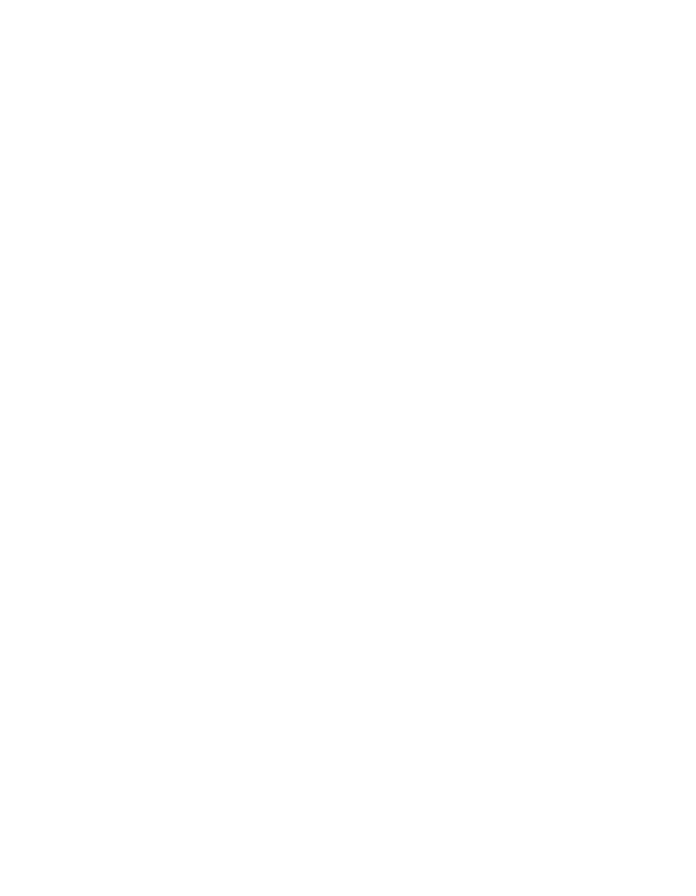Preferably there are twice as many inputs and outputs in the center stage and internal switches to provide connections through the center stage than ingress fibers to provide a  $100\%$  guarantee a connection would be available for any signal coming through on an ingress fiber. This also results in only half of the inputs in the center stage being used by signals from the ingress fibers at one time.

FIG. 5 is a schematic illustration of a computer network 500, which may be connected to the optical network 400. A controller 504, which may comprise one or more computers,  $_{10}$ is connected to the center stage optical switches 404, 406, 408, the input switches 410, 412, the output switches 414, 416, the lasers 418, the input detectors 424, the center stage input detectors 426, the center stage output detectors 430, and the egress fiber detectors 434. An indicator 508 is also  $_{15}$ connected to the controller 504. In the preferred embodiment, the controller 504 is connected to a controller of the input signals and output signals to provide instructions to the controller 504 on which signal on an ingress fiber 420 should be switched to which egress fiber 432. The controller  $_{20}$ 504 may receive client input 520, which may be defined as input information which the controller 504 may use to direct the switching of the center stage optical switches 404, 406, 408, the input switches  $410, 412,$  and the output switches 414, 416.

In operation, the lasers 418 may be used to test the center stage optical switches 404, 406, 408, the input switches 410, 412, and the output switches 414, 416 before the switch configuration 400 is placed in service. The input switches 410, 412 are switched by the controller 504 to various  $_{30}$ settings so that signals from the lasers 418 may pass through all of the output fibers 422 for all of the input switches 410, 412. The center stage input detectors 426 determine if signals from the lasers 418 are switched to all of the output fibers. If a signal is not detected through an output fiber  $422_{-35}$ of an input switch then this indicates a failure from an input switch 410, 412 connected to the output fiber 422 of the input switch or one of the lasers 418 connected to the input switch. The controller 504 may send a signal to the indicator 508, which indicates to a user which input switch 410, 412  $_{40}$ is malfunctioning, so that the user may replace the malfunctioning input switch.

Next, center stage optical switches 404, 406, 408 may be tested. The center stage optical switches 404, 406, 408 are switched to various settings by the controller  $504$  so that  $45$ signals from various output fibers 422 of the input switches are switched to various center stage output cables 428. The output cable detectors 430 are used to detect whether signals are actually being switched to the various center stage output cables 428. If a signal is not detected by an output cable  $50$ detector 430, but a corresponding center stage input detector 426 detects an input signal, then this indicates a failure of a center stage optical switch 404, 406, 408. The malfunctioning center stage optical switch 404, 406, 408 may be easily identified as the center stage optical switch connected to an 55 output fiber 422 through which an input signal is detected and a corresponding output cable 428 through which no output signal is detected. The controller 504 may send a signal to the indicator 508, which indicates to a user which center stage optical switch  $404$ ,  $406$ ,  $408$  is malfunctioning,  $60$ so that the user may replace the malfunctioning center state optical switch. By setting up various paths through the malfunctioning switch, it may be determined if an input port or output port is malfunctioning based on which other connections can be made through that switch.

Next the output switches 414, 416 may be tested. The output switches 414, 416 are switched to various settings by

65

the controller 504 so that signals from the various output cables 428 are switched to various egress fibers 432. The output cable detectors 430 and egress fiber detectors 434 are used to detect whether signals are actually being switched to the various egress fibers 432. If a signal is detected by an output cable detector, but is not detected by a corresponding egress fiber detector 434 then this indicates a failure of the output switch 414, 416. The malfunctioning output switch may be easily identified as the output switch connected between the output cable 428 through which a signal is detected and the corresponding egress fiber 432 through which no output signal is detected. The controller 504 may send a signal to the indicator 508, which indicates to a user which output switch 414, 416 is malfunctioning, so that the user may replace the malfunctioning output switch.

When placed in service, input signals are provided through the ingress fibers 420. Instructions may be provided, such as through the client input 520, to the controller 504 as to which particular ingress fiber 420 should be optically connected to which particular egress fiber 432, so that a signal from the ingress fiber 420 will be passed to the egress fiber 432. The controller 504 then switches the input switches, center stage switches, and output switches to provide the optical connection. With 2048 ingress fibers 420, preferably the controller 504 is able to control the input switches 410, 412, center stage switches 404, 406, 408, and output switches 414, 416 to be able to handle as many as 2048 input signals. The input detectors 424, center stage input detectors 426, center stage output detectors 430, and the egress fiber detectors 434 measure the signals along each optical path to determine whether the input switches, center stage switches, and output switches are properly functioning for signals entering through the ingress fibers 420.

In an example of an optical connection which creates an optical path, an ingress fiber 420 has an input signal indicated by the arrow A providing input to the 256th input switch 412. The 256th input switch 412 switches the input signal indicated by arrow A to an output fiber 422 with the signal indicated by the arrow B, which is connected to the 1st optical switch 404. The 1st optical switch 404 switches the signal to an output cable 428 connected to the 1st output switch 414 as indicated by arrow C. The output switch 414 switches the signal to the egress fiber 432 indicated by arrow D. (Remember to add these arrows to FIG. 5) As mentioned above the center stage optical switches have a total of 4096 inputs and 4096 outputs for the three-stage switch network of FIG. 4 with a maximum of 2048 input signals. Preferably there are twice as many inputs and outputs in the center stage to provide connections through the center stage than ingress fibers to provide a 100% guarantee a connection would be available for any signal coming through on an ingress fiber. This also results in only half of the inputs in the center stage being used by signals from the ingress fibers 420 at one time, which means only half of the possible connections provided by the switch configuration 400 may be used and tested by input signals at one time. Therefore, the lasers 418 are used to test the remaining optical paths over output fibers 422 and output cables 428 which are not in use. The controller 504 controls the input switches, center stage switches, and output switches so that signals from the lasers 418 pass over the output fibers 422 and output cables 428, which are not in use. The center stage input detectors 426 and center stage output detectors 428 measure the signals over the output fibers 422 and output cables 428 to determine whether the input switches, center stage switches, and output switches are properly functioning for signals from the lasers 418.

If an input switch 410, 412, center stage switch 404, 406, 408, or output switch 414, 416 is found to be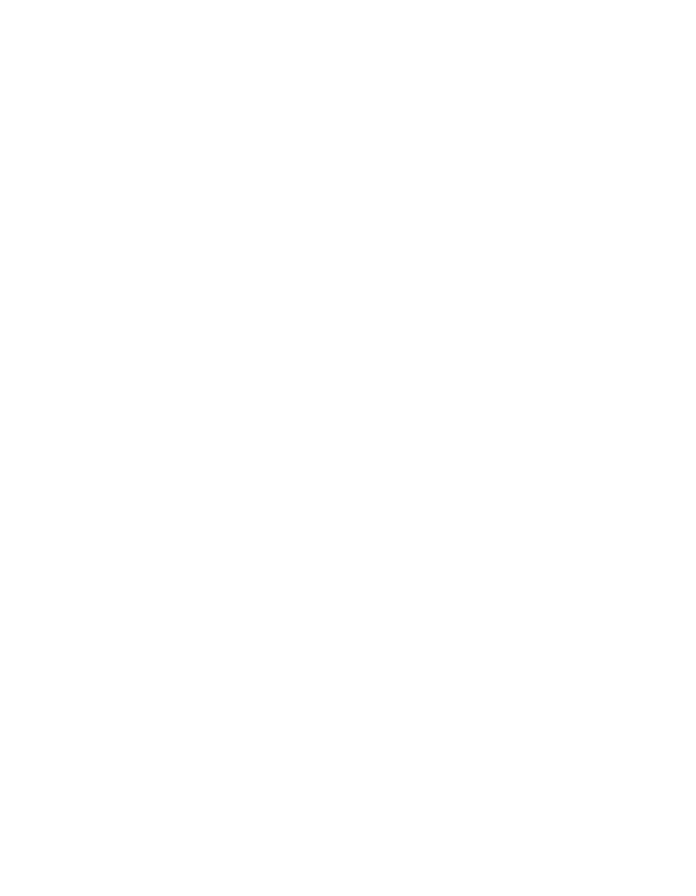malfunctioning, the controller 504 may send a signal to the indicator to indicate to a user which switch is malfunctioning. More preferably, if possible, the controller 504 may also reroute signals, which pass through the ingress fibers 420 to avoid the malfunctioning switch. Since there are twice as many possible connections as ingress fibers 420, this may be done to some degree, which allows the switch configuration 400 to function in some capacity, until a user is able to replace the malfunctioning switch.

In another embodiment, the controller may avoid using  $_{10}$ one of the center stage switches 404, 406, 408 to save the switch as a backup center stage switch. The lasers 418 may be used to test this backup center stage for redundant connection paths corresponding to the connection paths of each of the other active center-stage switches. If a malfunc-  $_{15}$ tion is detected for a center stage switch, the controller switches all of the optical paths from the malfunctioning center stage switch to the backup center stage switch.

FIG. 6 is a schematic illustration of a three stage switch configuration 600, used in another embodiment of the inven-  $_{20}$ tion. In this example, 16 256×256 center stage optical switches 604, 606, 608 are used as center-stage switches. There are 256  $8\times16$  input switches 610, 612 and 256 16 $\times8$ output switches 614, 616. For each input switch 610, 612 there are eight ingress fibers 620 to provide input to the input  $_{25}$ switch. Each ingress fiber 620 is coupled to a test laser 618, so that each ingress fiber 620 may receive light input from an input signal or from a test laser 618. Input detectors 624 are provided for each ingress fiber 620 to measure the signal on each ingress fiber 620. There are 16 output fibers 622 for  $_{30}$ each input switch 610, 612 so that each output fiber 622 of an input switch provides an input to a different center stage optical switch 604, 606, 608. Center stage input detectors 626 are provided on each output fiber 622 to measure the input to each of the center stage optical switches  $604, 606, 35$ 608. Each center stage optical switch 604, 606, 608 has 256 output cables 628, so that each center stage optical switch 604, 606, 608 has an output cable 628 that provides input to each of the 256 output switches 614, 616. Center stage output cable detectors 630 are provided so that each center  $_{40}$ stage output cable 628 has a center stage output detector 630 to measure the signal in the center stage output cable 628. Each output switch 614, 616 has eight egress fibers 632, where each egress fiber 632 has an egress fiber detector 634 to measure the signal in the egress fiber 632. The output  $_{45}$ cables 628 are optical fibers. The term "cable" is used so that they may be distinguished from the output fibers of the input switches.

As illustrated in the previous embodiment, a controller, which may comprise one or more computers, may be  $50$ connected to the center stage optical switches 604, 606, 608, the input switches  $610$ ,  $612$ , the output switches  $614$ ,  $616$ , the lasers 618, the input detectors 624, the center stage input detectors 626, the center stage output detectors 630, and the egress fiber detectors  $634$ . An indicator is also connected to  $55$ the controller. In the preferred embodiment, the controller is connected to a client input to provide information to the controller on which signal on an ingress fiber should be switched to which egress fiber.

In operation, the lasers 618 may be used to test the center 60 stage optical switches 604, 606, 608, the input switches 610, 612, and the output switches 614, 616 before the switch configuration 600 is placed in service. The testing in this embodiment is similar to the testing in the previous embodiment, with the main difference being that instead of 65 applying the test signals from the lasers through a connecting fiber between the lasers and the input switches, the test

signals from the lasers 618 are applied to through the ingress fibers 620. This is because the lasers 618 are coupled to the input optical switches 610, 612 through the ingress fibers 620 in this embodiment. This allows the testing of the ingress fibers 620.

While in service testing of the center stage optical switches 604, 606, 608, the input switches 610, 612, and the output switches 614, 616 is performed less frequently than in the previous embodiment. This is because lasers 618 share common ingress fibers 620 with the input signal. While input is being provided by an input signal over an ingress fiber 620, the laser 618 connected to the same ingress fiber 620 is not used for testing, to avoid interference with the input signal. However the optical path of the input signal may be measured by the input detectors 624, the center stage input detectors 626, the center stage output detectors 630, and the egress fiber detectors 634 to determine whether the switches work over the optical path traversed by the input signal. When an ingress fiber 620 is not receiving an input signal, a laser 618 coupled to the ingress fiber 620 may provide a test light signal over the ingress fiber 620. The test light signal may be used to test various optical paths, where the input detectors  $624$ , the center stage input detectors  $626$ , the center stage output detectors 630, and the egress fiber detectors 634 are used to determine whether the switches work over the optical path traversed by the test light signal.

This embodiment allows for fewer inputs into the input switches. This allows the use of smaller input switches. This embodiment does not provide testing of switches over optical paths as frequently as the previous embodiment.

FIG. 7 is a schematic illustration of a three stage Clos switch configuration 700, used in another embodiment of the invention. In this example, 16 256×256 center stage optical switches 704, 706, 708 are used as center-stage switches. There are 256  $10\times24$  input switches 710, 712 and 256  $16\times8$ output switches 714, 716. For each input switch 710, 712 there are eight ingress fibers 720 to provide input to the input switch. In this embodiment, a first test light source 718 and a second test light source 719 are connected to the input side of each input switch 710, 712. Input detectors 724 are provided for each ingress fiber 720 to measure the signal on each ingress fiber 720. There are a total of 24 outputs for each input switch 710, 712. There are 16 output fibers 722 for each input switch 710, 712 so that each output fiber 722 of an input switch provides an input to a different center stage optical switch 704, 706, 708 and 8 return fibers 723, which are connected to the output side of an input switch 710, 712 and optically coupled to an ingress fiber 720, so that each ingress fiber 720 is optically coupled to a return fiber 723. Center stage input detectors 726 are provided on each output fiber 722 to measure the input to each of the center stage optical switches 704, 706, 708. Each center stage optical switch 704, 706, 708 has 256 output cables 728, so that each center stage optical switch 704, 706, 708 has an output cable 728 that provides input to each of the 256 output switches 714, 716. Center stage output cable detectors 730 are provided so that each center stage output cable 728 has a center stage output detector 730 to measure the signal in the center stage output cable 728. Each output switch 714, 716 has eight egress fibers 732, where each egress fiber 732 has an egress fiber detector 734 to measure the signal in the egress fiber 732. The output cables 728 are optical fibers. The term "cable" is used so that they may be distinguished from the output fibers of the input switches.

As illustrated in previous embodiments, a controller, which may comprise one or more computers, may be connected to the center stage optical switches 704, 706, 708,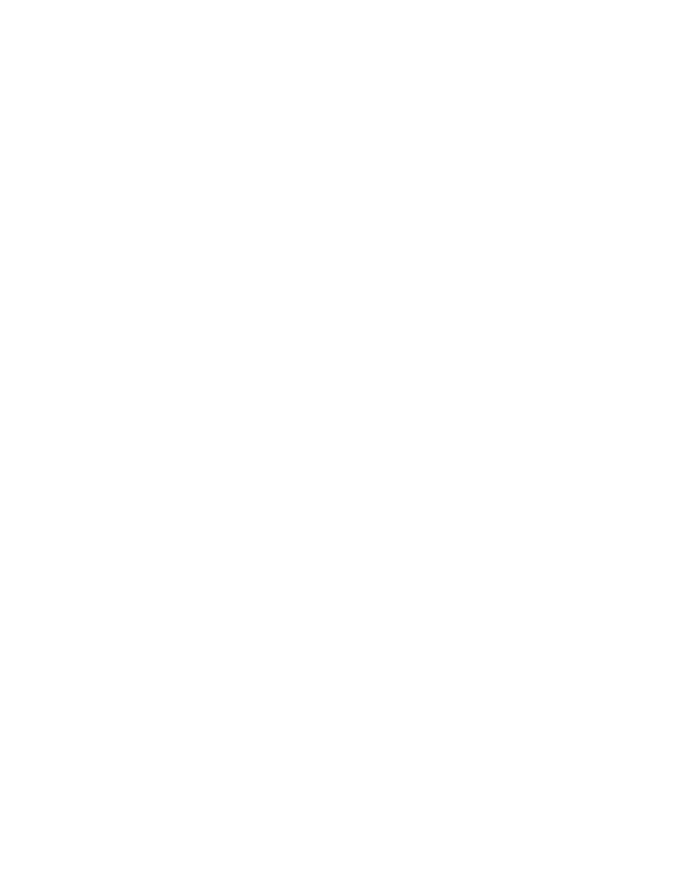the input switches 710, 712, the output switches 714, 716, first test light sources 718, the second test light sources 719, the input detectors 724, the center stage input detectors 726, the center stage output detectors  $730$ , and the egress fiber detectors 734. An indicator is also connected to the controller. In the preferred embodiment, the controller is connected to a client input to provide information to the controller which ingress fiber should be switched to which egress fiber.

In operation, the first test light sources 718 and the second test light sources 719 may be used to test the center stage  $10$ optical switches 704, 706, 708, the input switches 710, 712, and the output switches 714, 716 before the switch configuration 700 is placed in service. The testing in this embodiment is similar to the testing in the previous embodiments, with the main difference being that instead of having eight 15 lasers per input optical switch, there are only two lasers per input optical switch, which means it may take longer to test the switches. In addition, the return fibers 723 may be used to direct output from an input switch generated from the first or second test light sources 718, 719 to an ingress fiber 720,  $_{20}$ to test an optical path through the ingress fiber 720.

While in service testing of the center stage optical switches 704, 706, 708, the input switches 710, 712, and the output switches 714, 716 may be performed less frequently than at least one of the previous embodiments. This is 25 because there are only two test light sources per input switch. This embodiment allows a test light signal to be generated by the first test light source 718 or the second test light source 719 and to be directed by the optical input switch 710, 712 to an output fiber 722, to test an optical path  $30^{\circ}$ that is traversed by the test light signal and that is not in use by an input signal. Optical paths of the input signals may also be measured by the input detectors 724, the center stage input detectors 726, the center stage output detectors 730, and the egress fiber detectors 734 to determine whether the 35 switches work over the optical path traversed by the input signal. When an ingress fiber 720 is not receiving an input signal, the return fibers 723 may be used to provide a test light signal over the ingress fiber 720, where the test light signal is generated by the first test light source 718 or the  $40$ second test light source 719. The test light signal may be used to test various optical paths, where the input detectors 724, the center stage input detectors 726, the center stage output detectors 730, and the egress fiber detectors 734 are used to determine whether the switches work over the  $45$ optical path traversed by the test light signal.

This embodiment allows for a reduction in the number of test light sources, such as lasers. It also provides the testing of an optical path that actually tests a path through the ingress fibers. This embodiment may not provide testing of  $_{50}$ switches over optical paths as frequently as one of the previous embodiments.

This embodiment of the invention allows the testing and monitoring of switches while in use and while not in use, and indicates if a switch is malfunctioning and allows the  $55$ replacement of such a switch while the switch configuration continues to function.

Although in the embodiments described above the lasers are used as test light sources, other test light sources such as diodes may be used, as long as such test light sources  $60$ provide sufficient light to be measured by the detectors. In addition, the test light sources may be a different wavelength than the anticipated input fiber light source so that the test light source does not interfere with the input fiber light source.

While this invention has been described in terms of several preferred embodiments, there are alterations,

modifications, permutations, and substitute equivalents, which fall within the scope of this invention. It should also be noted that there are many alternative ways of implementing the methods and apparatuses of the present invention. It is therefore intended that the following appended claims be interpreted as including all such alterations, permutations, and equivalents as fall within the true spirit and scope of the present invention.

What is claimed is:

- 1. An optical switching apparatus, comprising:
- a plurality of optical input switches;
- a plurality of optical output switches;
- a plurality of central optical switches connected between the plurality of input switches and plurality of output switches;
- a plurality of test light sources, where each test light source is connected to an optical input switch;
- a first plurality of optical detectors connected to the optical output switches; and
- a controller connected to each of the plurality of optical input switches, the plurality of optical output switches, the plurality of central optical switches, the plurality of test light sources, and the first plurality of optical detectors, and wherein at least one of the plurality of central optical switches is an active optical switch and at least one of the plurality of central optical switches is a protection optical switch which acts as a back up for the active optical switch, wherein the controller determines if one of the plurality of central optical switches is malfunctioning, by simultaneously using input signals, which are not generated by the test light sources, to test the active optical switch and the test light sources to test the protection optical switch.

2. The optical switching apparatus, as recited in claim 1, wherein each of the plurality of optical input switches has input connections and output connections, and each of the plurality of optical output switches has input connections and output connections, and each of the plurality of central optical switches has input connections and output connections, further comprising:

- a first plurality of optical fibers connected between the output connections of the input switches and the input connections of the central optical switches;
- a second plurality of optical fibers connected between the output connections of the central optical switches and the optical output switches;
- a third plurality of optical fibers connected to the input connections of the optical input switches, wherein each test light source of the plurality of test light sources is connected to an optical fiber of the third plurality of optical fibers; and
- a fourth plurality of optical fibers connected to the output connections of the optical output switches, wherein each detector of the first plurality of optical detectors is connected to an optical fiber of the fourth plurality of optical fibers.

3. The optical switching apparatus, as recited in claim 2, further comprising a second plurality of optical detectors, wherein each optical detector of the second plurality of optical detectors is connected to an optical fiber of the third plurality of optical fibers.

4. The optical switching apparatus, as recited in claim 3, further comprising a third plurality of optical detectors, wherein each optical detector of the third plurality of optical detectors is connected to an optical fiber of the first plurality of optical fibers.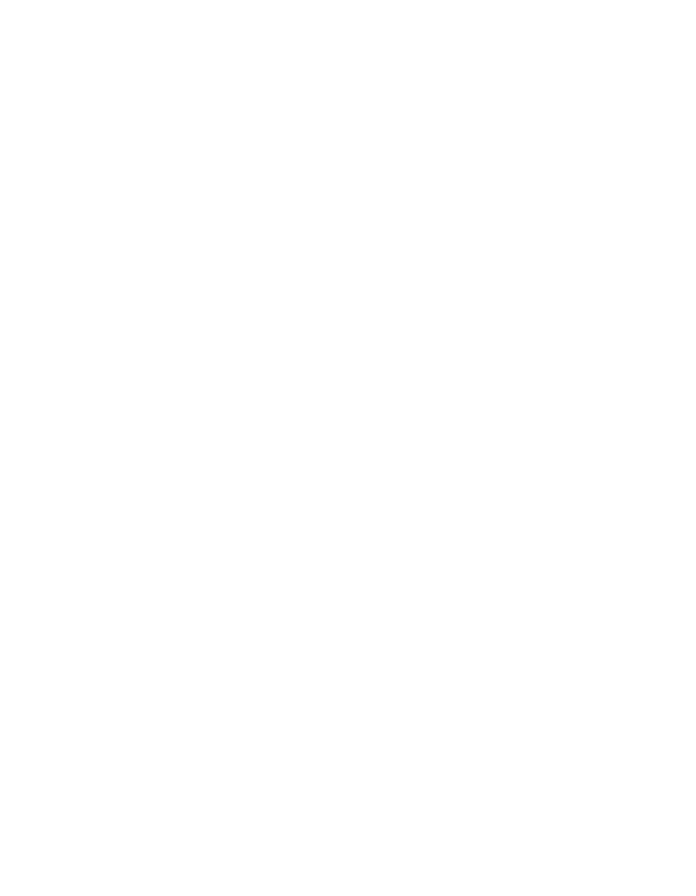10

25

 $30$ 

5. The optical switching apparatus, as recited in claim 2, wherein each of the plurality of optical input switches is connected to at least eight fibers of the third plurality of fibers.

6. The optical switching apparatus, as recited in 1, further 5 comprising an indicator connected to the controller which indicates if a central optical switch is malfunctioning.

7. The optical switching apparatus, as recited in claim 1, wherein each optical input switch of the plurality of optical input switches is connected to a test light source.

8. The switching apparatus, as recited in claim 1, wherein the controller causes the entire protection optical switch to replace an entire active optical switch if the controller determines the active optical switch is malfunctioning.

9. The switching apparatus, as recited in claim 1, wherein 15 the controller further uses the plurality of test light sources to test the active optical switch, when input lights are not present.

10. The switching apparatus, as recited in claim 1, wherein individual paths of the protection optical switch are 20 used to replace individual paths of the active optical switch when the controller determines that individual paths of the active optical switch are malfunctioning.

11. An optical switching apparatus, comprising:

- a plurality of optical input switches;
- a plurality of optical output switches;
- a plurality of central optical switches connected between the plurality of input switches and plurality of output switches;
- a plurality of test light sources, where each test light source is connected to an optical input switch;
- a first plurality of optical detectors connected to the optical output switches, wherein each of the plurality of

14

optical input switches has input connections and output connections, and each of the plurality of optical output switches has input connections and output connections, and each of the plurality of central optical switches has input connections and output connections;

- a first plurality of optical fibers connected between the output connections of the input switches and the input connections of the central optical switches;
- a second plurality of optical fibers connected between the output connections of the central optical switches and the optical output switches;
- a third plurality of optical fibers connected to the input connections of the optical input switches, wherein each test light source of the plurality of test light sources is connected to an optical fiber of the third plurality of optical fibers;
- a fourth plurality of optical fibers connected to the output connections of the optical output switches, wherein each detector of the first plurality of optical detectors is connected to an optical fiber of the fourth plurality of optical fibers; and
- a controller connected to each of the plurality of optical input switches, wherein the controller determines if one of the plurality of central optical switches is malfunctioning by testing a first plurality of optical paths using the test light sources and by simultaneously testing a second plurality of optical paths using input signals, which are not generated by the test light sources.

12. The optical switching apparatus, as recited in claim 6, further comprising an indicator connected to the controller which indicates if a central optical switch is malfunctioning.